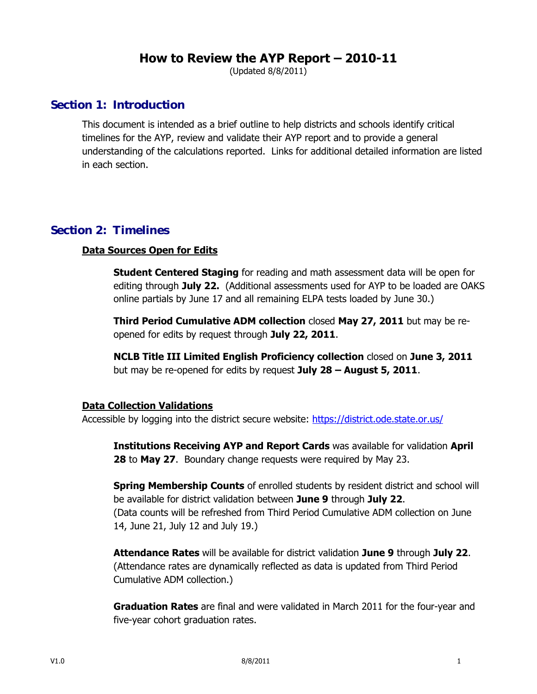## **How to Review the AYP Report – 2010-11**

(Updated 8/8/2011)

### **Section 1: Introduction**

This document is intended as a brief outline to help districts and schools identify critical timelines for the AYP, review and validate their AYP report and to provide a general understanding of the calculations reported. Links for additional detailed information are listed in each section.

### **Section 2: Timelines**

#### **Data Sources Open for Edits**

**Student Centered Staging** for reading and math assessment data will be open for editing through **July 22.** (Additional assessments used for AYP to be loaded are OAKS online partials by June 17 and all remaining ELPA tests loaded by June 30.)

**Third Period Cumulative ADM collection** closed **May 27, 2011** but may be reopened for edits by request through **July 22, 2011**.

**NCLB Title III Limited English Proficiency collection** closed on **June 3, 2011** but may be re-opened for edits by request **July 28 – August 5, 2011**.

#### **Data Collection Validations**

Accessible by logging into the district secure website: <https://district.ode.state.or.us/>

**Institutions Receiving AYP and Report Cards** was available for validation **April 28** to **May 27**. Boundary change requests were required by May 23.

**Spring Membership Counts** of enrolled students by resident district and school will be available for district validation between **June 9** through **July 22**. (Data counts will be refreshed from Third Period Cumulative ADM collection on June 14, June 21, July 12 and July 19.)

**Attendance Rates** will be available for district validation **June 9** through **July 22**. (Attendance rates are dynamically reflected as data is updated from Third Period Cumulative ADM collection.)

**Graduation Rates** are final and were validated in March 2011 for the four-year and five-year cohort graduation rates.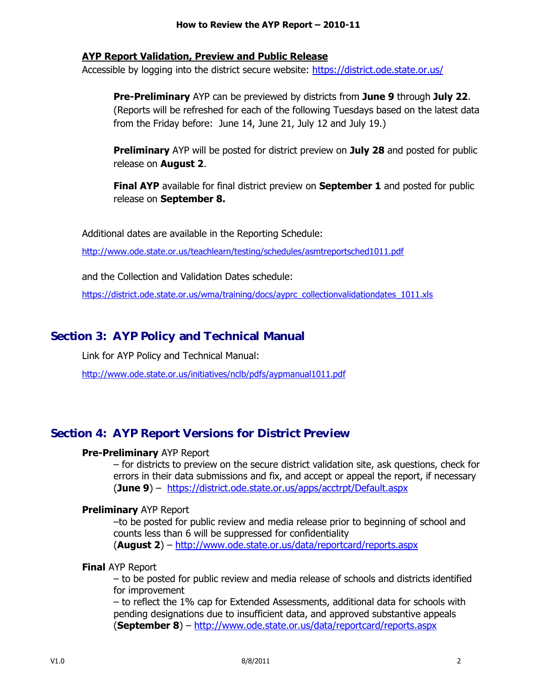#### **AYP Report Validation, Preview and Public Release**

Accessible by logging into the district secure website:<https://district.ode.state.or.us/>

**Pre-Preliminary** AYP can be previewed by districts from **June 9** through **July 22**. (Reports will be refreshed for each of the following Tuesdays based on the latest data from the Friday before: June 14, June 21, July 12 and July 19.)

**Preliminary** AYP will be posted for district preview on **July 28** and posted for public release on **August 2**.

**Final AYP** available for final district preview on **September 1** and posted for public release on **September 8.**

Additional dates are available in the Reporting Schedule:

<http://www.ode.state.or.us/teachlearn/testing/schedules/asmtreportsched1011.pdf>

and the Collection and Validation Dates schedule:

[https://district.ode.state.or.us/wma/training/docs/ayprc\\_collectionvalidationdates\\_1011.xls](https://district.ode.state.or.us/wma/training/docs/ayprc_collectionvalidationdates_1011.xls)

### **Section 3: AYP Policy and Technical Manual**

Link for AYP Policy and Technical Manual:

<http://www.ode.state.or.us/initiatives/nclb/pdfs/aypmanual1011.pdf>

### **Section 4: AYP Report Versions for District Preview**

#### **Pre-Preliminary** AYP Report

– for districts to preview on the secure district validation site, ask questions, check for errors in their data submissions and fix, and accept or appeal the report, if necessary (**June 9**) – <https://district.ode.state.or.us/apps/acctrpt/Default.aspx>

#### **Preliminary** AYP Report

–to be posted for public review and media release prior to beginning of school and counts less than 6 will be suppressed for confidentiality (**August 2**) – <http://www.ode.state.or.us/data/reportcard/reports.aspx>

#### **Final** AYP Report

– to be posted for public review and media release of schools and districts identified for improvement

– to reflect the 1% cap for Extended Assessments, additional data for schools with pending designations due to insufficient data, and approved substantive appeals (**September 8**) – <http://www.ode.state.or.us/data/reportcard/reports.aspx>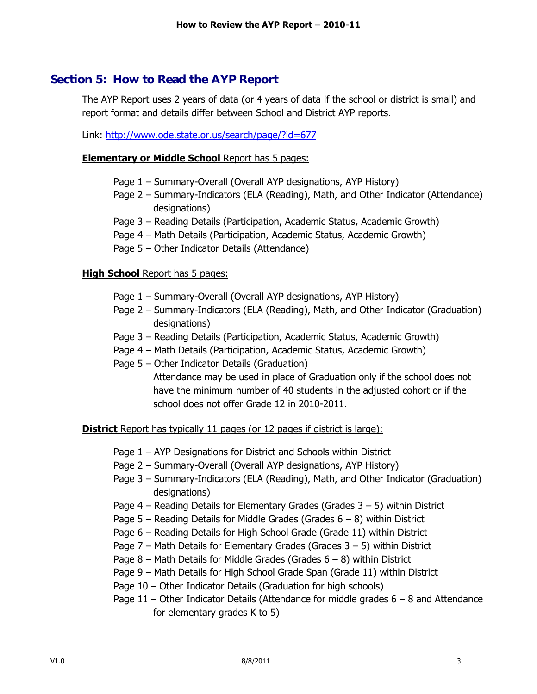### **Section 5: How to Read the AYP Report**

The AYP Report uses 2 years of data (or 4 years of data if the school or district is small) and report format and details differ between School and District AYP reports.

Link:<http://www.ode.state.or.us/search/page/?id=677>

#### **Elementary or Middle School** Report has 5 pages:

- Page 1 Summary-Overall (Overall AYP designations, AYP History)
- Page 2 Summary-Indicators (ELA (Reading), Math, and Other Indicator (Attendance) designations)
- Page 3 Reading Details (Participation, Academic Status, Academic Growth)
- Page 4 Math Details (Participation, Academic Status, Academic Growth)
- Page 5 Other Indicator Details (Attendance)

#### **High School** Report has 5 pages:

- Page 1 Summary-Overall (Overall AYP designations, AYP History)
- Page 2 Summary-Indicators (ELA (Reading), Math, and Other Indicator (Graduation) designations)
- Page 3 Reading Details (Participation, Academic Status, Academic Growth)
- Page 4 Math Details (Participation, Academic Status, Academic Growth)
- Page 5 Other Indicator Details (Graduation) Attendance may be used in place of Graduation only if the school does not have the minimum number of 40 students in the adjusted cohort or if the school does not offer Grade 12 in 2010-2011.

**District** Report has typically 11 pages (or 12 pages if district is large):

- Page 1 AYP Designations for District and Schools within District
- Page 2 Summary-Overall (Overall AYP designations, AYP History)
- Page 3 Summary-Indicators (ELA (Reading), Math, and Other Indicator (Graduation) designations)
- Page  $4$  Reading Details for Elementary Grades (Grades  $3 5$ ) within District
- Page  $5$  Reading Details for Middle Grades (Grades  $6 8$ ) within District
- Page 6 Reading Details for High School Grade (Grade 11) within District
- Page  $7$  Math Details for Elementary Grades (Grades  $3 5$ ) within District
- Page 8 Math Details for Middle Grades (Grades  $6 8$ ) within District
- Page 9 Math Details for High School Grade Span (Grade 11) within District
- Page 10 Other Indicator Details (Graduation for high schools)
- Page  $11$  Other Indicator Details (Attendance for middle grades  $6 8$  and Attendance for elementary grades K to 5)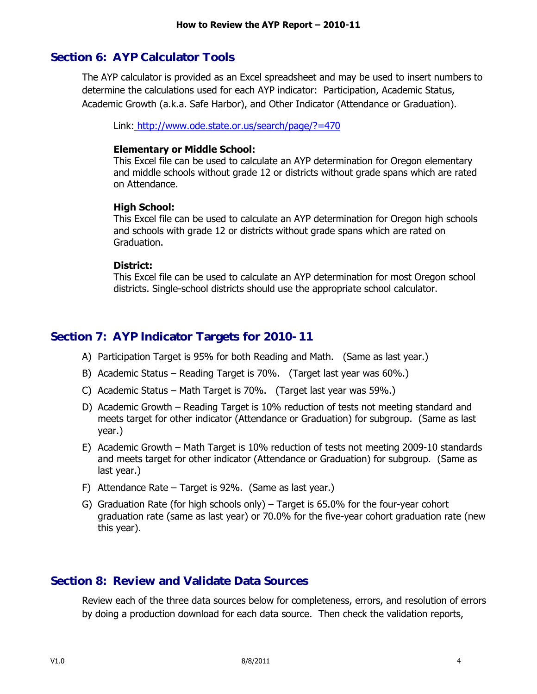### **Section 6: AYP Calculator Tools**

The AYP calculator is provided as an Excel spreadsheet and may be used to insert numbers to determine the calculations used for each AYP indicator: Participation, Academic Status, Academic Growth (a.k.a. Safe Harbor), and Other Indicator (Attendance or Graduation).

Link: <http://www.ode.state.or.us/search/page/?=470>

#### **Elementary or Middle School:**

This Excel file can be used to calculate an AYP determination for Oregon elementary and middle schools without grade 12 or districts without grade spans which are rated on Attendance.

#### **High School:**

This Excel file can be used to calculate an AYP determination for Oregon high schools and schools with grade 12 or districts without grade spans which are rated on Graduation.

#### **District:**

This Excel file can be used to calculate an AYP determination for most Oregon school districts. Single-school districts should use the appropriate school calculator.

### **Section 7: AYP Indicator Targets for 2010-11**

- A) Participation Target is 95% for both Reading and Math. (Same as last year.)
- B) Academic Status Reading Target is 70%. (Target last year was 60%.)
- C) Academic Status Math Target is 70%. (Target last year was 59%.)
- D) Academic Growth Reading Target is 10% reduction of tests not meeting standard and meets target for other indicator (Attendance or Graduation) for subgroup. (Same as last year.)
- E) Academic Growth Math Target is 10% reduction of tests not meeting 2009-10 standards and meets target for other indicator (Attendance or Graduation) for subgroup. (Same as last year.)
- F) Attendance Rate Target is 92%. (Same as last year.)
- G) Graduation Rate (for high schools only) Target is 65.0% for the four-year cohort graduation rate (same as last year) or 70.0% for the five-year cohort graduation rate (new this year).

### **Section 8: Review and Validate Data Sources**

Review each of the three data sources below for completeness, errors, and resolution of errors by doing a production download for each data source. Then check the validation reports,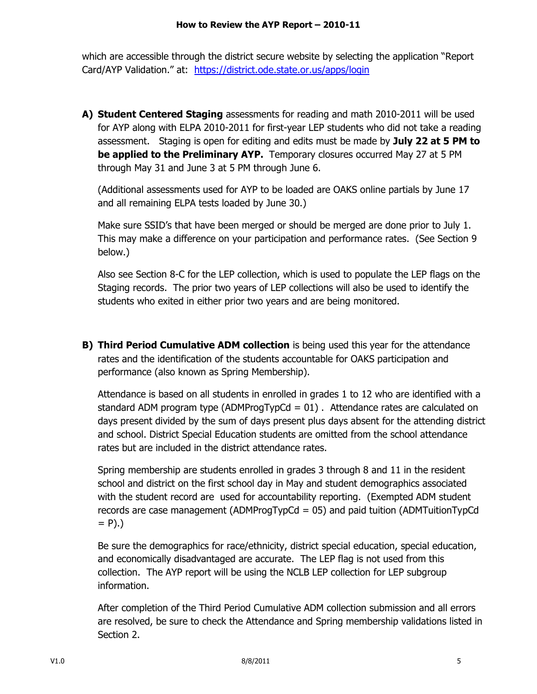which are accessible through the district secure website by selecting the application "Report Card/AYP Validation." at: <https://district.ode.state.or.us/apps/login>

**A) Student Centered Staging** assessments for reading and math 2010-2011 will be used for AYP along with ELPA 2010-2011 for first-year LEP students who did not take a reading assessment. Staging is open for editing and edits must be made by **July 22 at 5 PM to be applied to the Preliminary AYP.** Temporary closures occurred May 27 at 5 PM through May 31 and June 3 at 5 PM through June 6.

(Additional assessments used for AYP to be loaded are OAKS online partials by June 17 and all remaining ELPA tests loaded by June 30.)

Make sure SSID's that have been merged or should be merged are done prior to July 1. This may make a difference on your participation and performance rates. (See Section 9 below.)

Also see Section 8-C for the LEP collection, which is used to populate the LEP flags on the Staging records. The prior two years of LEP collections will also be used to identify the students who exited in either prior two years and are being monitored.

**B) Third Period Cumulative ADM collection** is being used this year for the attendance rates and the identification of the students accountable for OAKS participation and performance (also known as Spring Membership).

Attendance is based on all students in enrolled in grades 1 to 12 who are identified with a standard ADM program type (ADMProgTypCd  $= 01$ ). Attendance rates are calculated on days present divided by the sum of days present plus days absent for the attending district and school. District Special Education students are omitted from the school attendance rates but are included in the district attendance rates.

Spring membership are students enrolled in grades 3 through 8 and 11 in the resident school and district on the first school day in May and student demographics associated with the student record are used for accountability reporting. (Exempted ADM student records are case management (ADMProgTypCd = 05) and paid tuition (ADMTuitionTypCd  $= P$ ).)

Be sure the demographics for race/ethnicity, district special education, special education, and economically disadvantaged are accurate. The LEP flag is not used from this collection. The AYP report will be using the NCLB LEP collection for LEP subgroup information.

After completion of the Third Period Cumulative ADM collection submission and all errors are resolved, be sure to check the Attendance and Spring membership validations listed in Section 2.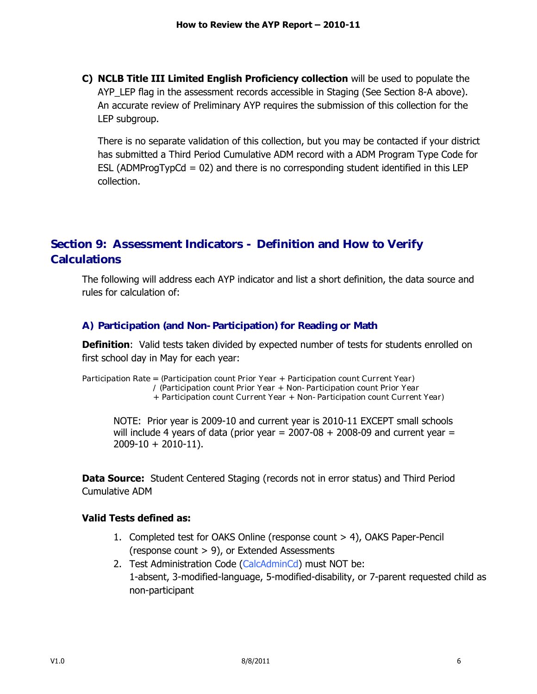**C) NCLB Title III Limited English Proficiency collection** will be used to populate the AYP\_LEP flag in the assessment records accessible in Staging (See Section 8-A above). An accurate review of Preliminary AYP requires the submission of this collection for the LEP subgroup.

There is no separate validation of this collection, but you may be contacted if your district has submitted a Third Period Cumulative ADM record with a ADM Program Type Code for ESL (ADMProgTypCd =  $02$ ) and there is no corresponding student identified in this LEP collection.

## **Section 9: Assessment Indicators - Definition and How to Verify Calculations**

The following will address each AYP indicator and list a short definition, the data source and rules for calculation of:

#### **A) Participation (and Non-Participation) for Reading or Math**

**Definition**: Valid tests taken divided by expected number of tests for students enrolled on first school day in May for each year:

*Participation Rate = (Participation count Prior Year + Participation count Current Year) / (Participation count Prior Year + Non-Participation count Prior Year + Participation count Current Year + Non-Participation count Current Year)*

NOTE: Prior year is 2009-10 and current year is 2010-11 EXCEPT small schools will include 4 years of data (prior year  $= 2007-08 + 2008-09$  and current year  $=$ 2009-10 + 2010-11).

**Data Source:** Student Centered Staging (records not in error status) and Third Period Cumulative ADM

#### **Valid Tests defined as:**

- 1. Completed test for OAKS Online (response count > 4), OAKS Paper-Pencil (response count > 9), or Extended Assessments
- 2. Test Administration Code (CalcAdminCd) must NOT be: 1-absent, 3-modified-language, 5-modified-disability, or 7-parent requested child as non-participant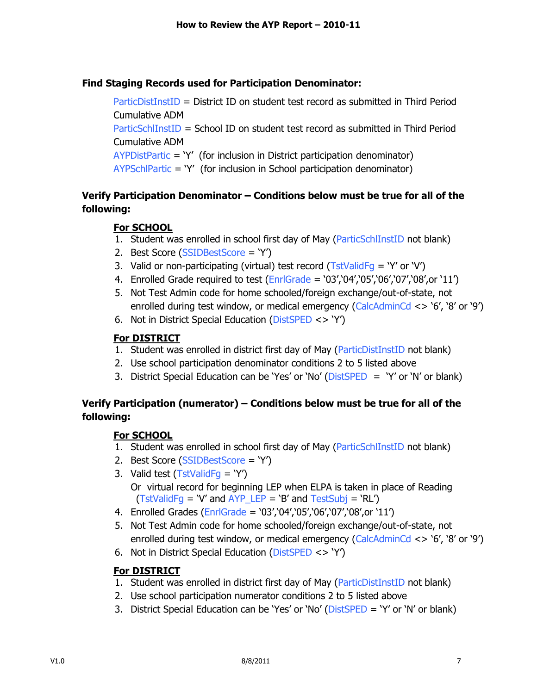#### **Find Staging Records used for Participation Denominator:**

ParticDistInstID = District ID on student test record as submitted in Third Period Cumulative ADM

ParticSchlInstID = School ID on student test record as submitted in Third Period Cumulative ADM

AYPDistPartic = "Y" (for inclusion in District participation denominator)

AYPSchlPartic = "Y" (for inclusion in School participation denominator)

### **Verify Participation Denominator – Conditions below must be true for all of the following:**

### **For SCHOOL**

- 1. Student was enrolled in school first day of May (ParticSchlInstID not blank)
- 2. Best Score (SSIDBestScore = "Y")
- 3. Valid or non-participating (virtual) test record ( $TstValidFq = Y'$  or  $Y'$ )
- 4. Enrolled Grade required to test  $(Enr|Grade = '03'/04')/05'/06'/07'/08'$ , or '11')
- 5. Not Test Admin code for home schooled/foreign exchange/out-of-state, not enrolled during test window, or medical emergency (CalcAdminCd  $\langle$  > '6', '8' or '9')
- 6. Not in District Special Education (DistSPED <> "Y")

### **For DISTRICT**

- 1. Student was enrolled in district first day of May (ParticDistInstID not blank)
- 2. Use school participation denominator conditions 2 to 5 listed above
- 3. District Special Education can be 'Yes' or 'No' (DistSPED = 'Y' or 'N' or blank)

### **Verify Participation (numerator) – Conditions below must be true for all of the following:**

### **For SCHOOL**

- 1. Student was enrolled in school first day of May (ParticSchlInstID not blank)
- 2. Best Score (SSIDBestScore = "Y")
- 3. Valid test  $(TstValidFq = 'Y')$ 
	- Or virtual record for beginning LEP when ELPA is taken in place of Reading  $(TstValidFg = V'$  and  $AYP_EEP = 'B'$  and  $TestSubj = 'RL'$
- 4. Enrolled Grades (EnrlGrade = '03','04','05','06','07','08',or '11')
- 5. Not Test Admin code for home schooled/foreign exchange/out-of-state, not enrolled during test window, or medical emergency (CalcAdminCd <> "6", "8" or "9")
- 6. Not in District Special Education (DistSPED <> "Y")

### **For DISTRICT**

- 1. Student was enrolled in district first day of May (ParticDistInstID not blank)
- 2. Use school participation numerator conditions 2 to 5 listed above
- 3. District Special Education can be "Yes" or "No" (DistSPED = "Y" or "N" or blank)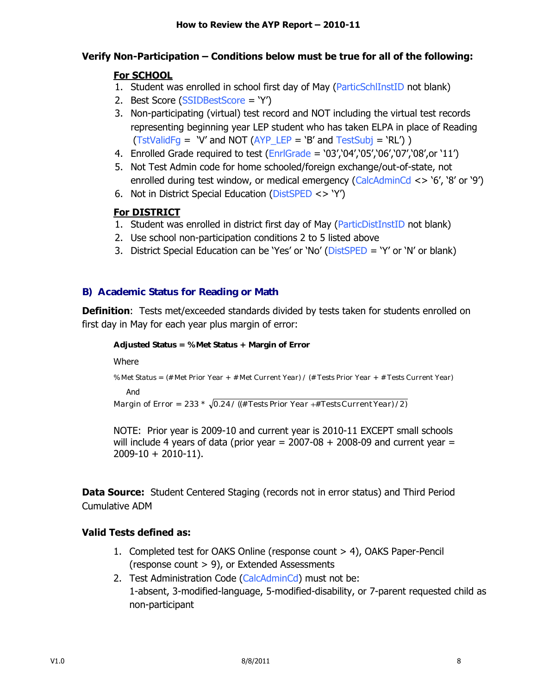### **Verify Non-Participation – Conditions below must be true for all of the following:**

### **For SCHOOL**

- 1. Student was enrolled in school first day of May (ParticSchlInstID not blank)
- 2. Best Score (SSIDBestScore = "Y")
- 3. Non-participating (virtual) test record and NOT including the virtual test records representing beginning year LEP student who has taken ELPA in place of Reading  $(TstValidFq = 'V'$  and NOT  $(AYP'LEP = 'B'$  and TestSubj = 'RL') )
- 4. Enrolled Grade required to test  $(Enr|Grade = '03')'04'$ , 05', 06', 07', 08', or '11')
- 5. Not Test Admin code for home schooled/foreign exchange/out-of-state, not enrolled during test window, or medical emergency (CalcAdminCd <> "6", "8" or "9")
- 6. Not in District Special Education (DistSPED <> "Y")

### **For DISTRICT**

- 1. Student was enrolled in district first day of May (ParticDistInstID not blank)
- 2. Use school non-participation conditions 2 to 5 listed above
- 3. District Special Education can be "Yes" or "No" (DistSPED = "Y" or "N" or blank)

#### **B) Academic Status for Reading or Math**

**Definition**: Tests met/exceeded standards divided by tests taken for students enrolled on first day in May for each year plus margin of error:

```
Adjusted Status = % Met Status + Margin of Error
Where 
% Met Status = (# Met Prior Year + # Met Current Year) / (# Tests Prior Year + # Tests Current Year) 
    And
Margin of Error = 233 * 
0.24 / ((# Tests Prior Year #Tests CurrentYear) /2)
```
NOTE: Prior year is 2009-10 and current year is 2010-11 EXCEPT small schools will include 4 years of data (prior year  $= 2007-08 + 2008-09$  and current year  $=$  $2009-10 + 2010-11$ ).

**Data Source:** Student Centered Staging (records not in error status) and Third Period Cumulative ADM

#### **Valid Tests defined as:**

- 1. Completed test for OAKS Online (response count > 4), OAKS Paper-Pencil (response count > 9), or Extended Assessments
- 2. Test Administration Code (CalcAdminCd) must not be: 1-absent, 3-modified-language, 5-modified-disability, or 7-parent requested child as non-participant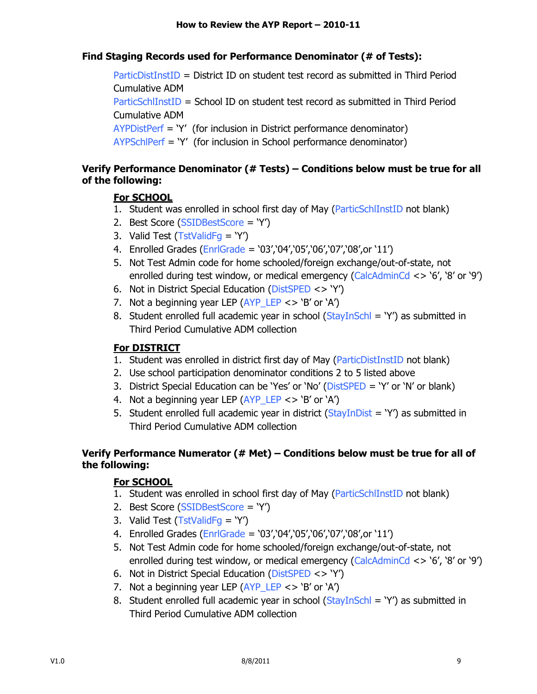### **Find Staging Records used for Performance Denominator (# of Tests):**

ParticDistInstID = District ID on student test record as submitted in Third Period Cumulative ADM ParticSchlInstID = School ID on student test record as submitted in Third Period Cumulative ADM AYPDistPerf = "Y" (for inclusion in District performance denominator) AYPSchlPerf = "Y" (for inclusion in School performance denominator)

#### **Verify Performance Denominator (# Tests) – Conditions below must be true for all of the following:**

#### **For SCHOOL**

- 1. Student was enrolled in school first day of May (ParticSchlInstID not blank)
- 2. Best Score (SSIDBestScore = "Y")
- 3. Valid Test (TstValidFq = 'Y')
- 4. Enrolled Grades (EnrlGrade = '03','04','05','06','07','08',or '11')
- 5. Not Test Admin code for home schooled/foreign exchange/out-of-state, not enrolled during test window, or medical emergency (CalcAdminCd <> "6", "8" or "9")
- 6. Not in District Special Education (DistSPED <> "Y")
- 7. Not a beginning year LEP ( $AP$ <sub>LEP</sub> <> 'B' or 'A')
- 8. Student enrolled full academic year in school ( $StavInSchl = Y\gamma$ ) as submitted in Third Period Cumulative ADM collection

#### **For DISTRICT**

- 1. Student was enrolled in district first day of May (ParticDistInstID not blank)
- 2. Use school participation denominator conditions 2 to 5 listed above
- 3. District Special Education can be "Yes" or "No" (DistSPED = "Y" or "N" or blank)
- 4. Not a beginning year LEP ( $APP$  LEP <> 'B' or 'A')
- 5. Student enrolled full academic year in district ( $StayInDist = Y'$ ) as submitted in Third Period Cumulative ADM collection

### **Verify Performance Numerator (# Met) – Conditions below must be true for all of the following:**

#### **For SCHOOL**

- 1. Student was enrolled in school first day of May (ParticSchlInstID not blank)
- 2. Best Score (SSIDBestScore = "Y")
- 3. Valid Test (TstValidFg = 'Y')
- 4. Enrolled Grades (EnrlGrade = '03','04','05','06','07','08',or '11')
- 5. Not Test Admin code for home schooled/foreign exchange/out-of-state, not enrolled during test window, or medical emergency (CalcAdminCd <> "6", "8" or "9")
- 6. Not in District Special Education (DistSPED <> "Y")
- 7. Not a beginning year LEP  $(AYP$  LEP  $\lt$  > 'B' or 'A')
- 8. Student enrolled full academic year in school ( $StayInSchl = 'Y'$ ) as submitted in Third Period Cumulative ADM collection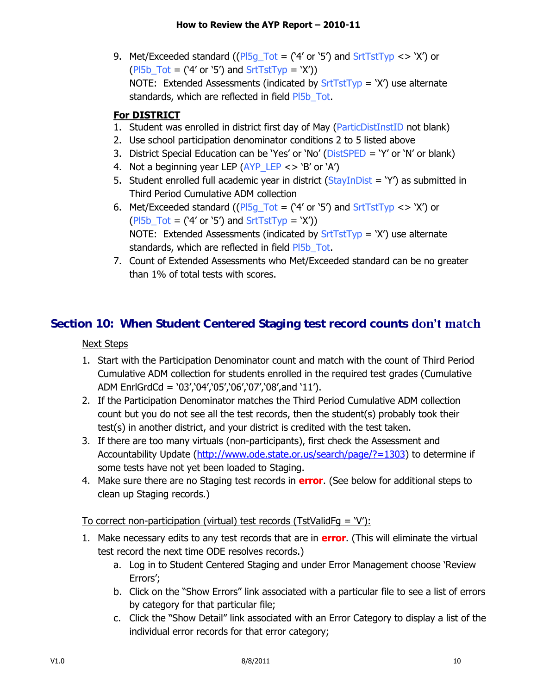9. Met/Exceeded standard (( $PI5g\_Tot = (4' or '5')$  and  $StrTstType \ll V'$ ) or  $(PI5b_Tot = (4' or '5')$  and  $StrTstType = 'X')$ NOTE: Extended Assessments (indicated by  $SrtTstTy$  = 'X') use alternate standards, which are reflected in field Pl5b\_Tot.

### **For DISTRICT**

- 1. Student was enrolled in district first day of May (ParticDistInstID not blank)
- 2. Use school participation denominator conditions 2 to 5 listed above
- 3. District Special Education can be 'Yes' or 'No' (DistSPED = 'Y' or 'N' or blank)
- 4. Not a beginning year LEP  $(AYP$  LEP  $\lt$  > 'B' or 'A')
- 5. Student enrolled full academic year in district ( $StayInDist = Y'$ ) as submitted in Third Period Cumulative ADM collection
- 6. Met/Exceeded standard (( $PI5q\_Tot = (4' or '5')$  and  $StrTstTyp \ll V'$ ) or  $(PI5b_Tot = (4' or '5')$  and  $StrTstType = 'X')$ NOTE: Extended Assessments (indicated by  $SrtTstTy$  = 'X') use alternate standards, which are reflected in field PI5b Tot.
- 7. Count of Extended Assessments who Met/Exceeded standard can be no greater than 1% of total tests with scores.

# **Section 10: When Student Centered Staging test record counts**

### Next Steps

- 1. Start with the Participation Denominator count and match with the count of Third Period Cumulative ADM collection for students enrolled in the required test grades (Cumulative ADM EnrlGrdCd = '03','04','05','06','07','08',and '11').
- 2. If the Participation Denominator matches the Third Period Cumulative ADM collection count but you do not see all the test records, then the student(s) probably took their test(s) in another district, and your district is credited with the test taken.
- 3. If there are too many virtuals (non-participants), first check the Assessment and Accountability Update [\(http://www.ode.state.or.us/search/page/?=1303\)](http://www.ode.state.or.us/search/page/?=1303) to determine if some tests have not yet been loaded to Staging.
- 4. Make sure there are no Staging test records in **error**. (See below for additional steps to clean up Staging records.)

### To correct non-participation (virtual) test records (TstValidFg =  $V$ ):

- 1. Make necessary edits to any test records that are in **error**. (This will eliminate the virtual test record the next time ODE resolves records.)
	- a. Log in to Student Centered Staging and under Error Management choose "Review Errors";
	- b. Click on the "Show Errors" link associated with a particular file to see a list of errors by category for that particular file;
	- c. Click the "Show Detail" link associated with an Error Category to display a list of the individual error records for that error category;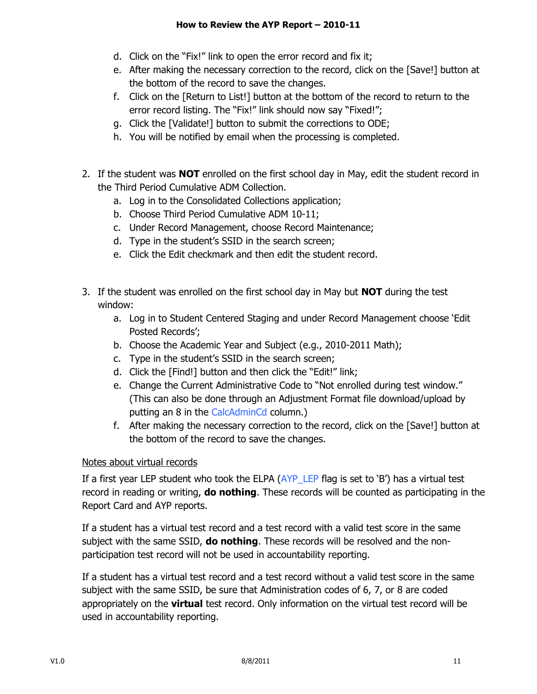- d. Click on the "Fix!" link to open the error record and fix it;
- e. After making the necessary correction to the record, click on the [Save!] button at the bottom of the record to save the changes.
- f. Click on the [Return to List!] button at the bottom of the record to return to the error record listing. The "Fix!" link should now say "Fixed!";
- g. Click the [Validate!] button to submit the corrections to ODE;
- h. You will be notified by email when the processing is completed.
- 2. If the student was **NOT** enrolled on the first school day in May, edit the student record in the Third Period Cumulative ADM Collection.
	- a. Log in to the Consolidated Collections application;
	- b. Choose Third Period Cumulative ADM 10-11;
	- c. Under Record Management, choose Record Maintenance;
	- d. Type in the student"s SSID in the search screen;
	- e. Click the Edit checkmark and then edit the student record.
- 3. If the student was enrolled on the first school day in May but **NOT** during the test window:
	- a. Log in to Student Centered Staging and under Record Management choose "Edit Posted Records";
	- b. Choose the Academic Year and Subject (e.g., 2010-2011 Math);
	- c. Type in the student"s SSID in the search screen;
	- d. Click the [Find!] button and then click the "Edit!" link;
	- e. Change the Current Administrative Code to "Not enrolled during test window." (This can also be done through an Adjustment Format file download/upload by putting an 8 in the CalcAdminCd column.)
	- f. After making the necessary correction to the record, click on the [Save!] button at the bottom of the record to save the changes.

### Notes about virtual records

If a first year LEP student who took the ELPA  $(AYP$  LEP flag is set to 'B') has a virtual test record in reading or writing, **do nothing**. These records will be counted as participating in the Report Card and AYP reports.

If a student has a virtual test record and a test record with a valid test score in the same subject with the same SSID, **do nothing**. These records will be resolved and the nonparticipation test record will not be used in accountability reporting.

If a student has a virtual test record and a test record without a valid test score in the same subject with the same SSID, be sure that Administration codes of 6, 7, or 8 are coded appropriately on the **virtual** test record. Only information on the virtual test record will be used in accountability reporting.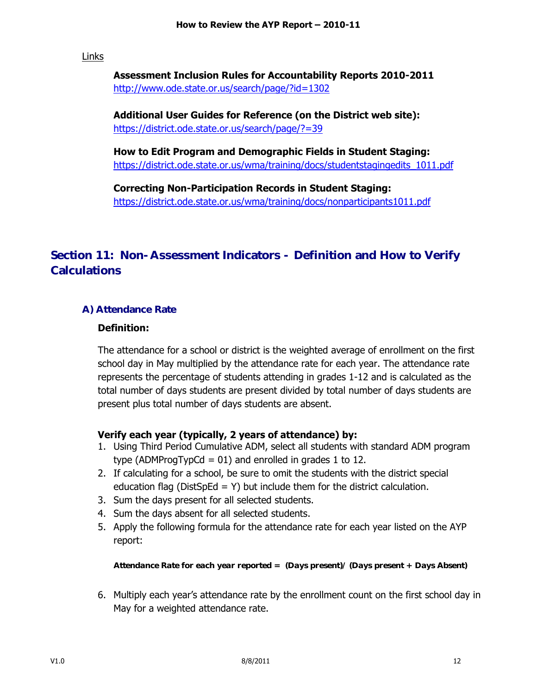Links

**Assessment Inclusion Rules for Accountability Reports 2010-2011** <http://www.ode.state.or.us/search/page/?id=1302>

**Additional User Guides for Reference (on the District web site):** <https://district.ode.state.or.us/search/page/?=39>

**How to Edit Program and Demographic Fields in Student Staging:** [https://district.ode.state.or.us/wma/training/docs/studentstagingedits\\_1011.pdf](https://district.ode.state.or.us/wma/training/docs/studentstagingedits_1011.pdf)

**Correcting Non-Participation Records in Student Staging:** <https://district.ode.state.or.us/wma/training/docs/nonparticipants1011.pdf>

## **Section 11: Non-Assessment Indicators - Definition and How to Verify Calculations**

### **A) Attendance Rate**

#### **Definition:**

The attendance for a school or district is the weighted average of enrollment on the first school day in May multiplied by the attendance rate for each year. The attendance rate represents the percentage of students attending in grades 1-12 and is calculated as the total number of days students are present divided by total number of days students are present plus total number of days students are absent.

#### **Verify each year (typically, 2 years of attendance) by:**

- 1. Using Third Period Cumulative ADM, select all students with standard ADM program type (ADMProgTypCd =  $01$ ) and enrolled in grades 1 to 12.
- 2. If calculating for a school, be sure to omit the students with the district special education flag (DistSpEd = Y) but include them for the district calculation.
- 3. Sum the days present for all selected students.
- 4. Sum the days absent for all selected students.
- 5. Apply the following formula for the attendance rate for each year listed on the AYP report:

*Attendance Rate for each year reported = (Days present)/ (Days present + Days Absent)* 

6. Multiply each year"s attendance rate by the enrollment count on the first school day in May for a weighted attendance rate.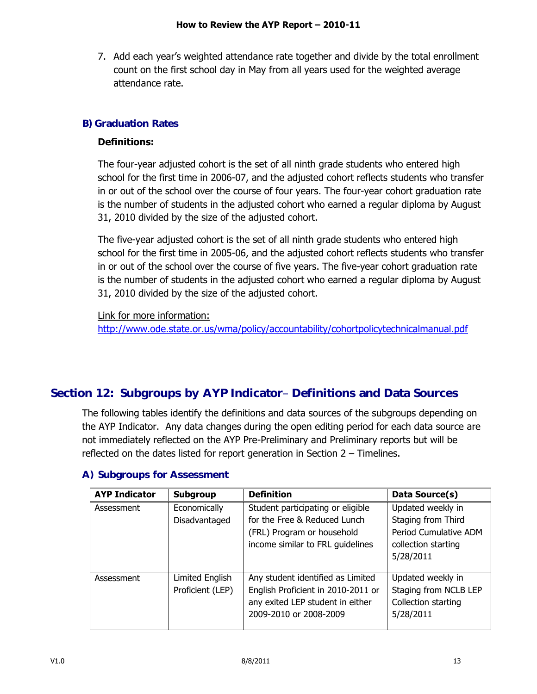7. Add each year"s weighted attendance rate together and divide by the total enrollment count on the first school day in May from all years used for the weighted average attendance rate.

### **B) Graduation Rates**

#### **Definitions:**

The four-year adjusted cohort is the set of all ninth grade students who entered high school for the first time in 2006-07, and the adjusted cohort reflects students who transfer in or out of the school over the course of four years. The four-year cohort graduation rate is the number of students in the adjusted cohort who earned a regular diploma by August 31, 2010 divided by the size of the adjusted cohort.

The five-year adjusted cohort is the set of all ninth grade students who entered high school for the first time in 2005-06, and the adjusted cohort reflects students who transfer in or out of the school over the course of five years. The five-year cohort graduation rate is the number of students in the adjusted cohort who earned a regular diploma by August 31, 2010 divided by the size of the adjusted cohort.

Link for more information:

<http://www.ode.state.or.us/wma/policy/accountability/cohortpolicytechnicalmanual.pdf>

## **Section 12: Subgroups by AYP Indicator Definitions and Data Sources**

The following tables identify the definitions and data sources of the subgroups depending on the AYP Indicator. Any data changes during the open editing period for each data source are not immediately reflected on the AYP Pre-Preliminary and Preliminary reports but will be reflected on the dates listed for report generation in Section 2 – Timelines.

| <b>AYP Indicator</b> | <b>Subgroup</b>                     | <b>Definition</b>                                                                                                                     | Data Source(s)                                                                                       |
|----------------------|-------------------------------------|---------------------------------------------------------------------------------------------------------------------------------------|------------------------------------------------------------------------------------------------------|
| Assessment           | Economically<br>Disadvantaged       | Student participating or eligible<br>for the Free & Reduced Lunch<br>(FRL) Program or household<br>income similar to FRL guidelines   | Updated weekly in<br>Staging from Third<br>Period Cumulative ADM<br>collection starting<br>5/28/2011 |
| Assessment           | Limited English<br>Proficient (LEP) | Any student identified as Limited<br>English Proficient in 2010-2011 or<br>any exited LEP student in either<br>2009-2010 or 2008-2009 | Updated weekly in<br>Staging from NCLB LEP<br>Collection starting<br>5/28/2011                       |

#### **A) Subgroups for Assessment**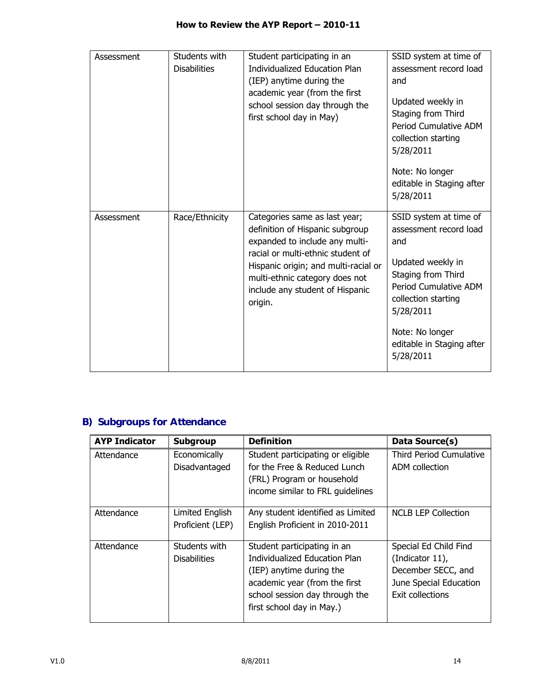| Assessment | Students with<br><b>Disabilities</b> | Student participating in an<br><b>Individualized Education Plan</b><br>(IEP) anytime during the<br>academic year (from the first<br>school session day through the<br>first school day in May)                                                                  | SSID system at time of<br>assessment record load<br>and<br>Updated weekly in<br>Staging from Third<br>Period Cumulative ADM<br>collection starting<br>5/28/2011<br>Note: No longer<br>editable in Staging after<br>5/28/2011 |
|------------|--------------------------------------|-----------------------------------------------------------------------------------------------------------------------------------------------------------------------------------------------------------------------------------------------------------------|------------------------------------------------------------------------------------------------------------------------------------------------------------------------------------------------------------------------------|
| Assessment | Race/Ethnicity                       | Categories same as last year;<br>definition of Hispanic subgroup<br>expanded to include any multi-<br>racial or multi-ethnic student of<br>Hispanic origin; and multi-racial or<br>multi-ethnic category does not<br>include any student of Hispanic<br>origin. | SSID system at time of<br>assessment record load<br>and<br>Updated weekly in<br>Staging from Third<br>Period Cumulative ADM<br>collection starting<br>5/28/2011<br>Note: No longer<br>editable in Staging after<br>5/28/2011 |

# **B) Subgroups for Attendance**

| <b>AYP Indicator</b> | <b>Subgroup</b>                      | <b>Definition</b>                                                                                                                                                                        | Data Source(s)                                                                                               |
|----------------------|--------------------------------------|------------------------------------------------------------------------------------------------------------------------------------------------------------------------------------------|--------------------------------------------------------------------------------------------------------------|
| Attendance           | Economically<br>Disadvantaged        | Student participating or eligible<br>for the Free & Reduced Lunch<br>(FRL) Program or household<br>income similar to FRL guidelines                                                      | <b>Third Period Cumulative</b><br>ADM collection                                                             |
| Attendance           | Limited English<br>Proficient (LEP)  | Any student identified as Limited<br>English Proficient in 2010-2011                                                                                                                     | <b>NCLB LEP Collection</b>                                                                                   |
| Attendance           | Students with<br><b>Disabilities</b> | Student participating in an<br>Individualized Education Plan<br>(IEP) anytime during the<br>academic year (from the first<br>school session day through the<br>first school day in May.) | Special Ed Child Find<br>(Indicator 11),<br>December SECC, and<br>June Special Education<br>Exit collections |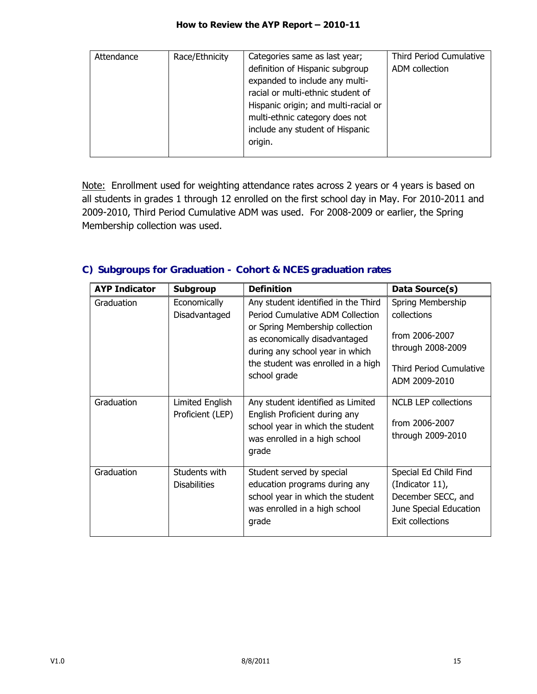| Attendance | Race/Ethnicity | Categories same as last year;        | Third Period Cumulative |
|------------|----------------|--------------------------------------|-------------------------|
|            |                | definition of Hispanic subgroup      | ADM collection          |
|            |                | expanded to include any multi-       |                         |
|            |                | racial or multi-ethnic student of    |                         |
|            |                | Hispanic origin; and multi-racial or |                         |
|            |                | multi-ethnic category does not       |                         |
|            |                | include any student of Hispanic      |                         |
|            |                | origin.                              |                         |
|            |                |                                      |                         |

Note: Enrollment used for weighting attendance rates across 2 years or 4 years is based on all students in grades 1 through 12 enrolled on the first school day in May. For 2010-2011 and 2009-2010, Third Period Cumulative ADM was used. For 2008-2009 or earlier, the Spring Membership collection was used.

### **C) Subgroups for Graduation - Cohort & NCES graduation rates**

| <b>AYP Indicator</b> | <b>Subgroup</b>                      | <b>Definition</b>                                                                                                                                                                                                                    | Data Source(s)                                                                                                      |
|----------------------|--------------------------------------|--------------------------------------------------------------------------------------------------------------------------------------------------------------------------------------------------------------------------------------|---------------------------------------------------------------------------------------------------------------------|
| Graduation           | Economically<br>Disadvantaged        | Any student identified in the Third<br>Period Cumulative ADM Collection<br>or Spring Membership collection<br>as economically disadvantaged<br>during any school year in which<br>the student was enrolled in a high<br>school grade | Spring Membership<br>collections<br>from 2006-2007<br>through 2008-2009<br>Third Period Cumulative<br>ADM 2009-2010 |
| Graduation           | Limited English<br>Proficient (LEP)  | Any student identified as Limited<br>English Proficient during any<br>school year in which the student<br>was enrolled in a high school<br>grade                                                                                     | <b>NCLB LEP collections</b><br>from 2006-2007<br>through 2009-2010                                                  |
| Graduation           | Students with<br><b>Disabilities</b> | Student served by special<br>education programs during any<br>school year in which the student<br>was enrolled in a high school<br>grade                                                                                             | Special Ed Child Find<br>(Indicator 11),<br>December SECC, and<br>June Special Education<br><b>Exit collections</b> |